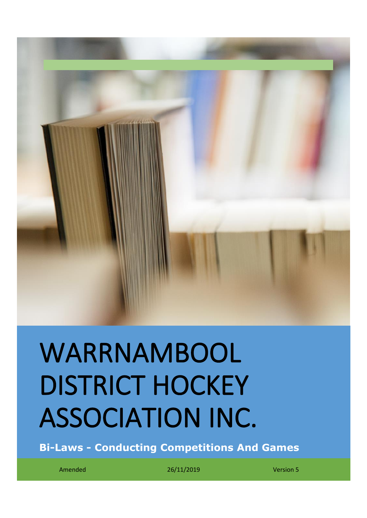

# WARRNAMBOOL DISTRICT HOCKEY ASSOCIATION INC.

**Bi-Laws - Conducting Competitions And Games**

Amended 26/11/2019 Version 5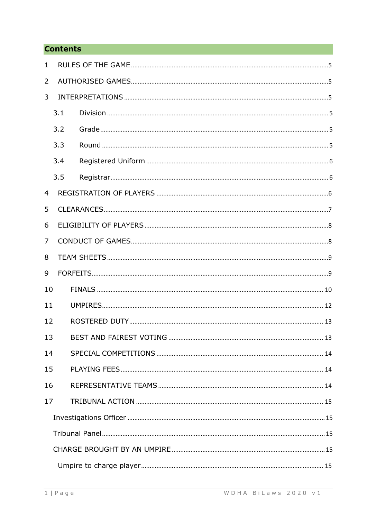# **Contents**

| $\mathbf{1}$   |     |  |  |  |
|----------------|-----|--|--|--|
| 2              |     |  |  |  |
| 3              |     |  |  |  |
|                | 3.1 |  |  |  |
|                | 3.2 |  |  |  |
|                | 3.3 |  |  |  |
|                | 3.4 |  |  |  |
|                | 3.5 |  |  |  |
| $\overline{4}$ |     |  |  |  |
| 5              |     |  |  |  |
| 6              |     |  |  |  |
| $\overline{7}$ |     |  |  |  |
| 8              |     |  |  |  |
| 9              |     |  |  |  |
| 10             |     |  |  |  |
| 11             |     |  |  |  |
| 12             |     |  |  |  |
| 13             |     |  |  |  |
| 14             |     |  |  |  |
| 15             |     |  |  |  |
| 16             |     |  |  |  |
| 17             |     |  |  |  |
|                |     |  |  |  |
|                |     |  |  |  |
|                |     |  |  |  |
|                |     |  |  |  |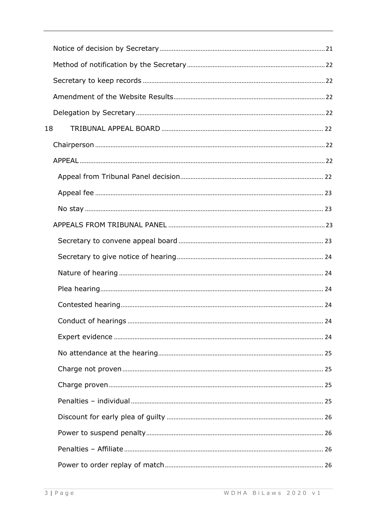| 18 |  |  |
|----|--|--|
|    |  |  |
|    |  |  |
|    |  |  |
|    |  |  |
|    |  |  |
|    |  |  |
|    |  |  |
|    |  |  |
|    |  |  |
|    |  |  |
|    |  |  |
|    |  |  |
|    |  |  |
|    |  |  |
|    |  |  |
|    |  |  |
|    |  |  |
|    |  |  |
|    |  |  |
|    |  |  |
|    |  |  |
|    |  |  |
|    |  |  |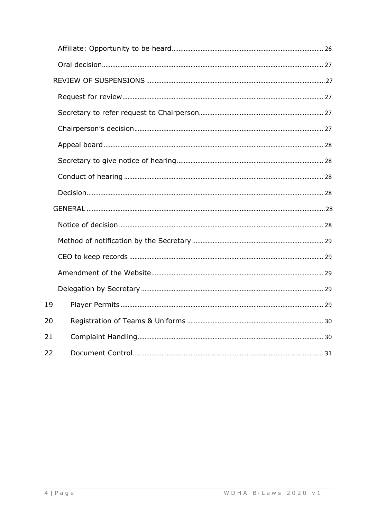| 19 |  |  |  |
|----|--|--|--|
| 20 |  |  |  |
| 21 |  |  |  |
| 22 |  |  |  |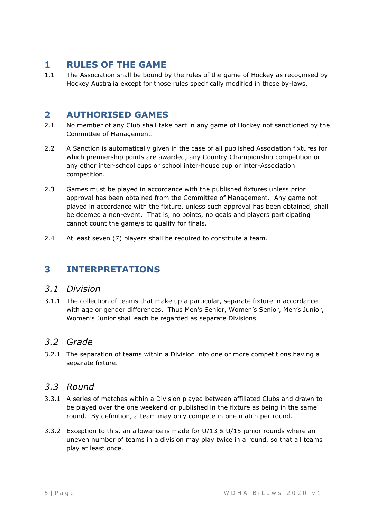# <span id="page-5-0"></span>**1 RULES OF THE GAME**

1.1 The Association shall be bound by the rules of the game of Hockey as recognised by Hockey Australia except for those rules specifically modified in these by-laws.

# <span id="page-5-1"></span>**2 AUTHORISED GAMES**

- 2.1 No member of any Club shall take part in any game of Hockey not sanctioned by the Committee of Management.
- 2.2 A Sanction is automatically given in the case of all published Association fixtures for which premiership points are awarded, any Country Championship competition or any other inter-school cups or school inter-house cup or inter-Association competition.
- 2.3 Games must be played in accordance with the published fixtures unless prior approval has been obtained from the Committee of Management. Any game not played in accordance with the fixture, unless such approval has been obtained, shall be deemed a non-event. That is, no points, no goals and players participating cannot count the game/s to qualify for finals.
- <span id="page-5-2"></span>2.4 At least seven (7) players shall be required to constitute a team.

# **3 INTERPRETATIONS**

# <span id="page-5-3"></span>*3.1 Division*

3.1.1 The collection of teams that make up a particular, separate fixture in accordance with age or gender differences. Thus Men's Senior, Women's Senior, Men's Junior, Women's Junior shall each be regarded as separate Divisions.

# <span id="page-5-4"></span>*3.2 Grade*

3.2.1 The separation of teams within a Division into one or more competitions having a separate fixture.

# <span id="page-5-5"></span>*3.3 Round*

- 3.3.1 A series of matches within a Division played between affiliated Clubs and drawn to be played over the one weekend or published in the fixture as being in the same round. By definition, a team may only compete in one match per round.
- 3.3.2 Exception to this, an allowance is made for U/13 & U/15 junior rounds where an uneven number of teams in a division may play twice in a round, so that all teams play at least once.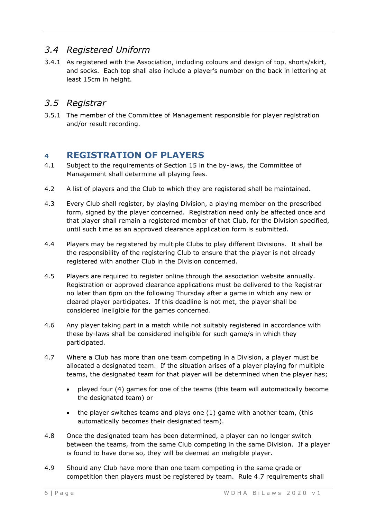# <span id="page-6-0"></span>*3.4 Registered Uniform*

3.4.1 As registered with the Association, including colours and design of top, shorts/skirt, and socks. Each top shall also include a player's number on the back in lettering at least 15cm in height.

# <span id="page-6-1"></span>*3.5 Registrar*

3.5.1 The member of the Committee of Management responsible for player registration and/or result recording.

# <span id="page-6-2"></span>**4 REGISTRATION OF PLAYERS**

- 4.1 Subject to the requirements of Section 15 in the by-laws, the Committee of Management shall determine all playing fees.
- 4.2 A list of players and the Club to which they are registered shall be maintained.
- 4.3 Every Club shall register, by playing Division, a playing member on the prescribed form, signed by the player concerned. Registration need only be affected once and that player shall remain a registered member of that Club, for the Division specified, until such time as an approved clearance application form is submitted.
- 4.4 Players may be registered by multiple Clubs to play different Divisions. It shall be the responsibility of the registering Club to ensure that the player is not already registered with another Club in the Division concerned.
- 4.5 Players are required to register online through the association website annually. Registration or approved clearance applications must be delivered to the Registrar no later than 6pm on the following Thursday after a game in which any new or cleared player participates. If this deadline is not met, the player shall be considered ineligible for the games concerned.
- 4.6 Any player taking part in a match while not suitably registered in accordance with these by-laws shall be considered ineligible for such game/s in which they participated.
- 4.7 Where a Club has more than one team competing in a Division, a player must be allocated a designated team. If the situation arises of a player playing for multiple teams, the designated team for that player will be determined when the player has;
	- played four (4) games for one of the teams (this team will automatically become the designated team) or
	- the player switches teams and plays one (1) game with another team, (this automatically becomes their designated team).
- 4.8 Once the designated team has been determined, a player can no longer switch between the teams, from the same Club competing in the same Division. If a player is found to have done so, they will be deemed an ineligible player.
- 4.9 Should any Club have more than one team competing in the same grade or competition then players must be registered by team. Rule 4.7 requirements shall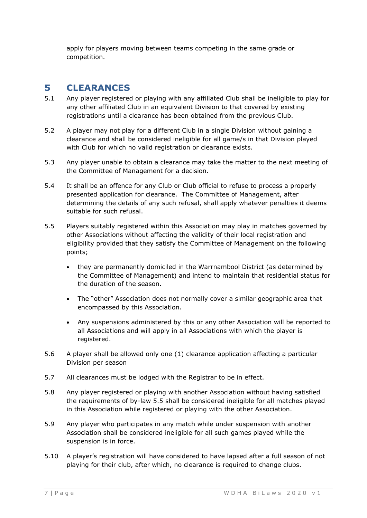apply for players moving between teams competing in the same grade or competition.

# <span id="page-7-0"></span>**5 CLEARANCES**

- 5.1 Any player registered or playing with any affiliated Club shall be ineligible to play for any other affiliated Club in an equivalent Division to that covered by existing registrations until a clearance has been obtained from the previous Club.
- 5.2 A player may not play for a different Club in a single Division without gaining a clearance and shall be considered ineligible for all game/s in that Division played with Club for which no valid registration or clearance exists.
- 5.3 Any player unable to obtain a clearance may take the matter to the next meeting of the Committee of Management for a decision.
- 5.4 It shall be an offence for any Club or Club official to refuse to process a properly presented application for clearance. The Committee of Management, after determining the details of any such refusal, shall apply whatever penalties it deems suitable for such refusal.
- 5.5 Players suitably registered within this Association may play in matches governed by other Associations without affecting the validity of their local registration and eligibility provided that they satisfy the Committee of Management on the following points;
	- they are permanently domiciled in the Warrnambool District (as determined by the Committee of Management) and intend to maintain that residential status for the duration of the season.
	- The "other" Association does not normally cover a similar geographic area that encompassed by this Association.
	- Any suspensions administered by this or any other Association will be reported to all Associations and will apply in all Associations with which the player is registered.
- 5.6 A player shall be allowed only one (1) clearance application affecting a particular Division per season
- 5.7 All clearances must be lodged with the Registrar to be in effect.
- 5.8 Any player registered or playing with another Association without having satisfied the requirements of by-law 5.5 shall be considered ineligible for all matches played in this Association while registered or playing with the other Association.
- 5.9 Any player who participates in any match while under suspension with another Association shall be considered ineligible for all such games played while the suspension is in force.
- 5.10 A player's registration will have considered to have lapsed after a full season of not playing for their club, after which, no clearance is required to change clubs.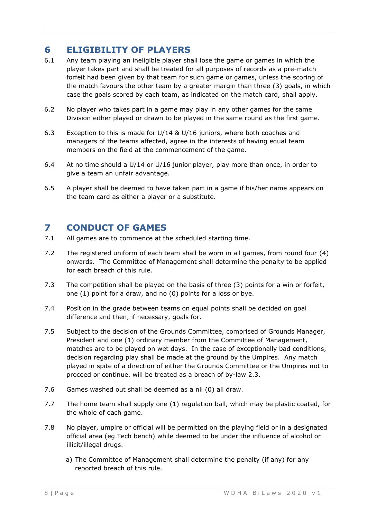# <span id="page-8-0"></span>**6 ELIGIBILITY OF PLAYERS**

- 6.1 Any team playing an ineligible player shall lose the game or games in which the player takes part and shall be treated for all purposes of records as a pre-match forfeit had been given by that team for such game or games, unless the scoring of the match favours the other team by a greater margin than three (3) goals, in which case the goals scored by each team, as indicated on the match card, shall apply.
- 6.2 No player who takes part in a game may play in any other games for the same Division either played or drawn to be played in the same round as the first game.
- 6.3 Exception to this is made for U/14 & U/16 juniors, where both coaches and managers of the teams affected, agree in the interests of having equal team members on the field at the commencement of the game.
- 6.4 At no time should a U/14 or U/16 junior player, play more than once, in order to give a team an unfair advantage.
- 6.5 A player shall be deemed to have taken part in a game if his/her name appears on the team card as either a player or a substitute.

# <span id="page-8-1"></span>**7 CONDUCT OF GAMES**

- 7.1 All games are to commence at the scheduled starting time.
- 7.2 The registered uniform of each team shall be worn in all games, from round four (4) onwards. The Committee of Management shall determine the penalty to be applied for each breach of this rule.
- 7.3 The competition shall be played on the basis of three (3) points for a win or forfeit, one (1) point for a draw, and no (0) points for a loss or bye.
- 7.4 Position in the grade between teams on equal points shall be decided on goal difference and then, if necessary, goals for.
- 7.5 Subject to the decision of the Grounds Committee, comprised of Grounds Manager, President and one (1) ordinary member from the Committee of Management, matches are to be played on wet days. In the case of exceptionally bad conditions, decision regarding play shall be made at the ground by the Umpires. Any match played in spite of a direction of either the Grounds Committee or the Umpires not to proceed or continue, will be treated as a breach of by-law 2.3.
- 7.6 Games washed out shall be deemed as a nil (0) all draw.
- 7.7 The home team shall supply one (1) regulation ball, which may be plastic coated, for the whole of each game.
- 7.8 No player, umpire or official will be permitted on the playing field or in a designated official area (eg Tech bench) while deemed to be under the influence of alcohol or illicit/illegal drugs.
	- a) The Committee of Management shall determine the penalty (if any) for any reported breach of this rule.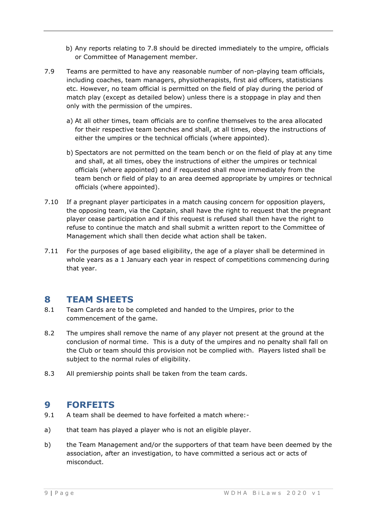- b) Any reports relating to 7.8 should be directed immediately to the umpire, officials or Committee of Management member.
- 7.9 Teams are permitted to have any reasonable number of non-playing team officials, including coaches, team managers, physiotherapists, first aid officers, statisticians etc. However, no team official is permitted on the field of play during the period of match play (except as detailed below) unless there is a stoppage in play and then only with the permission of the umpires.
	- a) At all other times, team officials are to confine themselves to the area allocated for their respective team benches and shall, at all times, obey the instructions of either the umpires or the technical officials (where appointed).
	- b) Spectators are not permitted on the team bench or on the field of play at any time and shall, at all times, obey the instructions of either the umpires or technical officials (where appointed) and if requested shall move immediately from the team bench or field of play to an area deemed appropriate by umpires or technical officials (where appointed).
- 7.10 If a pregnant player participates in a match causing concern for opposition players, the opposing team, via the Captain, shall have the right to request that the pregnant player cease participation and if this request is refused shall then have the right to refuse to continue the match and shall submit a written report to the Committee of Management which shall then decide what action shall be taken.
- 7.11 For the purposes of age based eligibility, the age of a player shall be determined in whole years as a 1 January each year in respect of competitions commencing during that year.

# <span id="page-9-0"></span>**8 TEAM SHEETS**

- 8.1 Team Cards are to be completed and handed to the Umpires, prior to the commencement of the game.
- 8.2 The umpires shall remove the name of any player not present at the ground at the conclusion of normal time. This is a duty of the umpires and no penalty shall fall on the Club or team should this provision not be complied with. Players listed shall be subject to the normal rules of eligibility.
- <span id="page-9-1"></span>8.3 All premiership points shall be taken from the team cards.

# **9 FORFEITS**

- 9.1 A team shall be deemed to have forfeited a match where:-
- a) that team has played a player who is not an eligible player.
- b) the Team Management and/or the supporters of that team have been deemed by the association, after an investigation, to have committed a serious act or acts of misconduct.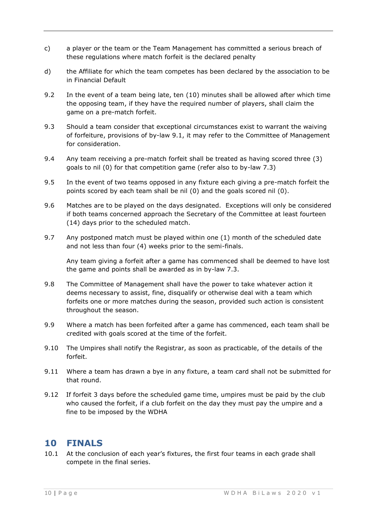- c) a player or the team or the Team Management has committed a serious breach of these regulations where match forfeit is the declared penalty
- d) the Affiliate for which the team competes has been declared by the association to be in Financial Default
- 9.2 In the event of a team being late, ten (10) minutes shall be allowed after which time the opposing team, if they have the required number of players, shall claim the game on a pre-match forfeit.
- 9.3 Should a team consider that exceptional circumstances exist to warrant the waiving of forfeiture, provisions of by-law 9.1, it may refer to the Committee of Management for consideration.
- 9.4 Any team receiving a pre-match forfeit shall be treated as having scored three (3) goals to nil (0) for that competition game (refer also to by-law 7.3)
- 9.5 In the event of two teams opposed in any fixture each giving a pre-match forfeit the points scored by each team shall be nil (0) and the goals scored nil (0).
- 9.6 Matches are to be played on the days designated. Exceptions will only be considered if both teams concerned approach the Secretary of the Committee at least fourteen (14) days prior to the scheduled match.
- 9.7 Any postponed match must be played within one (1) month of the scheduled date and not less than four (4) weeks prior to the semi-finals.

Any team giving a forfeit after a game has commenced shall be deemed to have lost the game and points shall be awarded as in by-law 7.3.

- 9.8 The Committee of Management shall have the power to take whatever action it deems necessary to assist, fine, disqualify or otherwise deal with a team which forfeits one or more matches during the season, provided such action is consistent throughout the season.
- 9.9 Where a match has been forfeited after a game has commenced, each team shall be credited with goals scored at the time of the forfeit.
- 9.10 The Umpires shall notify the Registrar, as soon as practicable, of the details of the forfeit.
- 9.11 Where a team has drawn a bye in any fixture, a team card shall not be submitted for that round.
- 9.12 If forfeit 3 days before the scheduled game time, umpires must be paid by the club who caused the forfeit, if a club forfeit on the day they must pay the umpire and a fine to be imposed by the WDHA

# <span id="page-10-0"></span>**10 FINALS**

10.1 At the conclusion of each year's fixtures, the first four teams in each grade shall compete in the final series.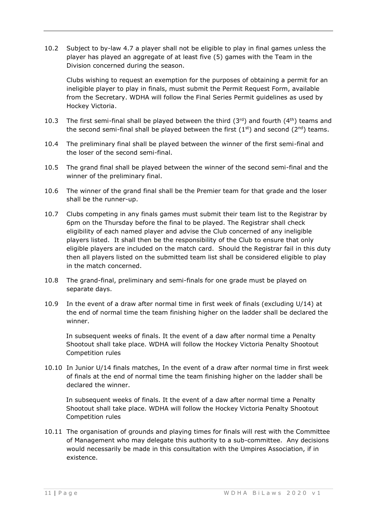10.2 Subject to by-law 4.7 a player shall not be eligible to play in final games unless the player has played an aggregate of at least five (5) games with the Team in the Division concerned during the season.

Clubs wishing to request an exemption for the purposes of obtaining a permit for an ineligible player to play in finals, must submit the Permit Request Form, available from the Secretary. WDHA will follow the Final Series Permit guidelines as used by Hockey Victoria.

- 10.3 The first semi-final shall be played between the third  $(3^{rd})$  and fourth  $(4^{th})$  teams and the second semi-final shall be played between the first  $(1<sup>st</sup>)$  and second  $(2<sup>nd</sup>)$  teams.
- 10.4 The preliminary final shall be played between the winner of the first semi-final and the loser of the second semi-final.
- 10.5 The grand final shall be played between the winner of the second semi-final and the winner of the preliminary final.
- 10.6 The winner of the grand final shall be the Premier team for that grade and the loser shall be the runner-up.
- 10.7 Clubs competing in any finals games must submit their team list to the Registrar by 6pm on the Thursday before the final to be played. The Registrar shall check eligibility of each named player and advise the Club concerned of any ineligible players listed. It shall then be the responsibility of the Club to ensure that only eligible players are included on the match card. Should the Registrar fail in this duty then all players listed on the submitted team list shall be considered eligible to play in the match concerned.
- 10.8 The grand-final, preliminary and semi-finals for one grade must be played on separate days.
- 10.9 In the event of a draw after normal time in first week of finals (excluding U/14) at the end of normal time the team finishing higher on the ladder shall be declared the winner.

In subsequent weeks of finals. It the event of a daw after normal time a Penalty Shootout shall take place. WDHA will follow the Hockey Victoria Penalty Shootout Competition rules

10.10 In Junior U/14 finals matches, In the event of a draw after normal time in first week of finals at the end of normal time the team finishing higher on the ladder shall be declared the winner.

In subsequent weeks of finals. It the event of a daw after normal time a Penalty Shootout shall take place. WDHA will follow the Hockey Victoria Penalty Shootout Competition rules

10.11 The organisation of grounds and playing times for finals will rest with the Committee of Management who may delegate this authority to a sub-committee. Any decisions would necessarily be made in this consultation with the Umpires Association, if in existence.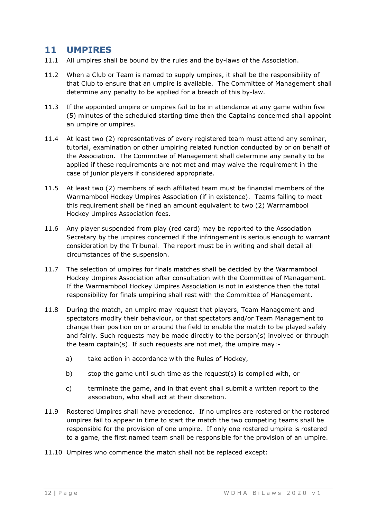# <span id="page-12-0"></span>**11 UMPIRES**

- 11.1 All umpires shall be bound by the rules and the by-laws of the Association.
- 11.2 When a Club or Team is named to supply umpires, it shall be the responsibility of that Club to ensure that an umpire is available. The Committee of Management shall determine any penalty to be applied for a breach of this by-law.
- 11.3 If the appointed umpire or umpires fail to be in attendance at any game within five (5) minutes of the scheduled starting time then the Captains concerned shall appoint an umpire or umpires.
- 11.4 At least two (2) representatives of every registered team must attend any seminar, tutorial, examination or other umpiring related function conducted by or on behalf of the Association. The Committee of Management shall determine any penalty to be applied if these requirements are not met and may waive the requirement in the case of junior players if considered appropriate.
- 11.5 At least two (2) members of each affiliated team must be financial members of the Warrnambool Hockey Umpires Association (if in existence). Teams failing to meet this requirement shall be fined an amount equivalent to two (2) Warrnambool Hockey Umpires Association fees.
- 11.6 Any player suspended from play (red card) may be reported to the Association Secretary by the umpires concerned if the infringement is serious enough to warrant consideration by the Tribunal. The report must be in writing and shall detail all circumstances of the suspension.
- 11.7 The selection of umpires for finals matches shall be decided by the Warrnambool Hockey Umpires Association after consultation with the Committee of Management. If the Warrnambool Hockey Umpires Association is not in existence then the total responsibility for finals umpiring shall rest with the Committee of Management.
- 11.8 During the match, an umpire may request that players, Team Management and spectators modify their behaviour, or that spectators and/or Team Management to change their position on or around the field to enable the match to be played safely and fairly. Such requests may be made directly to the person(s) involved or through the team captain(s). If such requests are not met, the umpire may:
	- a) take action in accordance with the Rules of Hockey,
	- b) stop the game until such time as the request(s) is complied with, or
	- c) terminate the game, and in that event shall submit a written report to the association, who shall act at their discretion.
- 11.9 Rostered Umpires shall have precedence. If no umpires are rostered or the rostered umpires fail to appear in time to start the match the two competing teams shall be responsible for the provision of one umpire. If only one rostered umpire is rostered to a game, the first named team shall be responsible for the provision of an umpire.
- 11.10 Umpires who commence the match shall not be replaced except: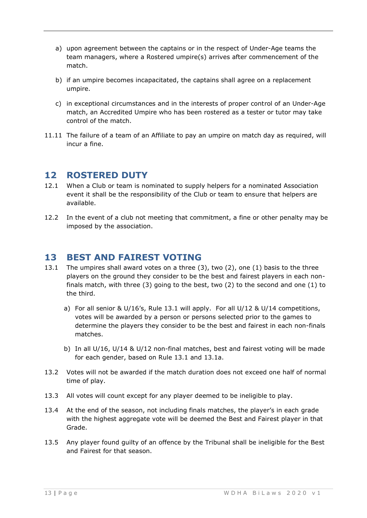- a) upon agreement between the captains or in the respect of Under-Age teams the team managers, where a Rostered umpire(s) arrives after commencement of the match.
- b) if an umpire becomes incapacitated, the captains shall agree on a replacement umpire.
- c) in exceptional circumstances and in the interests of proper control of an Under-Age match, an Accredited Umpire who has been rostered as a tester or tutor may take control of the match.
- 11.11 The failure of a team of an Affiliate to pay an umpire on match day as required, will incur a fine.

# <span id="page-13-0"></span>**12 ROSTERED DUTY**

- 12.1 When a Club or team is nominated to supply helpers for a nominated Association event it shall be the responsibility of the Club or team to ensure that helpers are available.
- 12.2 In the event of a club not meeting that commitment, a fine or other penalty may be imposed by the association.

# <span id="page-13-1"></span>**13 BEST AND FAIREST VOTING**

- 13.1 The umpires shall award votes on a three (3), two (2), one (1) basis to the three players on the ground they consider to be the best and fairest players in each nonfinals match, with three (3) going to the best, two (2) to the second and one (1) to the third.
	- a) For all senior & U/16's, Rule 13.1 will apply. For all U/12 & U/14 competitions, votes will be awarded by a person or persons selected prior to the games to determine the players they consider to be the best and fairest in each non-finals matches.
	- b) In all U/16, U/14 & U/12 non-final matches, best and fairest voting will be made for each gender, based on Rule 13.1 and 13.1a.
- 13.2 Votes will not be awarded if the match duration does not exceed one half of normal time of play.
- 13.3 All votes will count except for any player deemed to be ineligible to play.
- 13.4 At the end of the season, not including finals matches, the player's in each grade with the highest aggregate vote will be deemed the Best and Fairest player in that Grade.
- 13.5 Any player found guilty of an offence by the Tribunal shall be ineligible for the Best and Fairest for that season.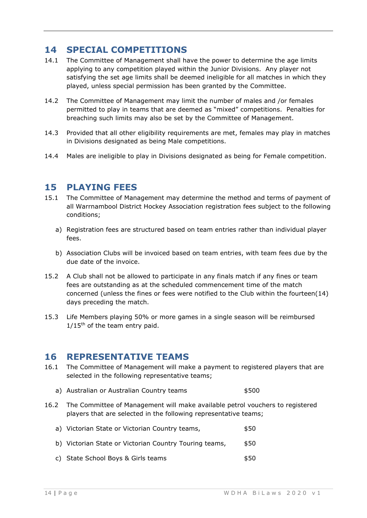# <span id="page-14-0"></span>**14 SPECIAL COMPETITIONS**

- 14.1 The Committee of Management shall have the power to determine the age limits applying to any competition played within the Junior Divisions. Any player not satisfying the set age limits shall be deemed ineligible for all matches in which they played, unless special permission has been granted by the Committee.
- 14.2 The Committee of Management may limit the number of males and /or females permitted to play in teams that are deemed as "mixed" competitions. Penalties for breaching such limits may also be set by the Committee of Management.
- 14.3 Provided that all other eligibility requirements are met, females may play in matches in Divisions designated as being Male competitions.
- <span id="page-14-1"></span>14.4 Males are ineligible to play in Divisions designated as being for Female competition.

# **15 PLAYING FEES**

- 15.1 The Committee of Management may determine the method and terms of payment of all Warrnambool District Hockey Association registration fees subject to the following conditions;
	- a) Registration fees are structured based on team entries rather than individual player fees.
	- b) Association Clubs will be invoiced based on team entries, with team fees due by the due date of the invoice.
- 15.2 A Club shall not be allowed to participate in any finals match if any fines or team fees are outstanding as at the scheduled commencement time of the match concerned (unless the fines or fees were notified to the Club within the fourteen(14) days preceding the match.
- 15.3 Life Members playing 50% or more games in a single season will be reimbursed  $1/15$ <sup>th</sup> of the team entry paid.

#### <span id="page-14-2"></span>**16 REPRESENTATIVE TEAMS**

- 16.1 The Committee of Management will make a payment to registered players that are selected in the following representative teams;
	- a) Australian or Australian Country teams  $$500$
- 16.2 The Committee of Management will make available petrol vouchers to registered players that are selected in the following representative teams;

| a) Victorian State or Victorian Country teams,         | \$50 |
|--------------------------------------------------------|------|
| b) Victorian State or Victorian Country Touring teams, | \$50 |
| c) State School Boys & Girls teams                     | \$50 |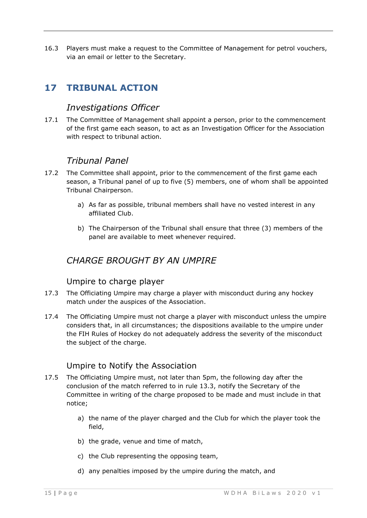16.3 Players must make a request to the Committee of Management for petrol vouchers, via an email or letter to the Secretary.

# <span id="page-15-1"></span><span id="page-15-0"></span>**17 TRIBUNAL ACTION**

# *Investigations Officer*

17.1 The Committee of Management shall appoint a person, prior to the commencement of the first game each season, to act as an Investigation Officer for the Association with respect to tribunal action.

# *Tribunal Panel*

- <span id="page-15-2"></span>17.2 The Committee shall appoint, prior to the commencement of the first game each season, a Tribunal panel of up to five (5) members, one of whom shall be appointed Tribunal Chairperson.
	- a) As far as possible, tribunal members shall have no vested interest in any affiliated Club.
	- b) The Chairperson of the Tribunal shall ensure that three (3) members of the panel are available to meet whenever required.

# <span id="page-15-3"></span>*CHARGE BROUGHT BY AN UMPIRE*

#### Umpire to charge player

- <span id="page-15-4"></span>17.3 The Officiating Umpire may charge a player with misconduct during any hockey match under the auspices of the Association.
- 17.4 The Officiating Umpire must not charge a player with misconduct unless the umpire considers that, in all circumstances; the dispositions available to the umpire under the FIH Rules of Hockey do not adequately address the severity of the misconduct the subject of the charge.

#### Umpire to Notify the Association

- <span id="page-15-5"></span>17.5 The Officiating Umpire must, not later than 5pm, the following day after the conclusion of the match referred to in rule 13.3, notify the Secretary of the Committee in writing of the charge proposed to be made and must include in that notice;
	- a) the name of the player charged and the Club for which the player took the field,
	- b) the grade, venue and time of match,
	- c) the Club representing the opposing team,
	- d) any penalties imposed by the umpire during the match, and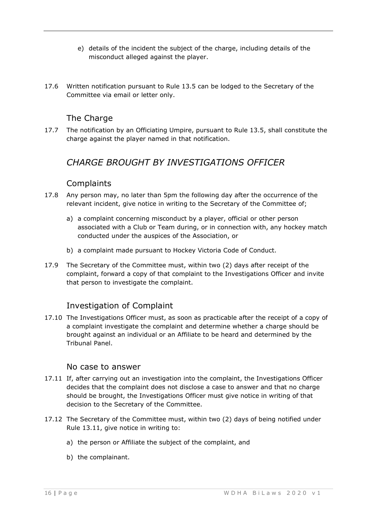- e) details of the incident the subject of the charge, including details of the misconduct alleged against the player.
- 17.6 Written notification pursuant to Rule 13.5 can be lodged to the Secretary of the Committee via email or letter only.

# The Charge

<span id="page-16-1"></span><span id="page-16-0"></span>17.7 The notification by an Officiating Umpire, pursuant to Rule 13.5, shall constitute the charge against the player named in that notification.

# *CHARGE BROUGHT BY INVESTIGATIONS OFFICER*

## **Complaints**

- <span id="page-16-2"></span>17.8 Any person may, no later than 5pm the following day after the occurrence of the relevant incident, give notice in writing to the Secretary of the Committee of;
	- a) a complaint concerning misconduct by a player, official or other person associated with a Club or Team during, or in connection with, any hockey match conducted under the auspices of the Association, or
	- b) a complaint made pursuant to Hockey Victoria Code of Conduct.
- 17.9 The Secretary of the Committee must, within two (2) days after receipt of the complaint, forward a copy of that complaint to the Investigations Officer and invite that person to investigate the complaint.

# Investigation of Complaint

<span id="page-16-3"></span>17.10 The Investigations Officer must, as soon as practicable after the receipt of a copy of a complaint investigate the complaint and determine whether a charge should be brought against an individual or an Affiliate to be heard and determined by the Tribunal Panel.

#### No case to answer

- <span id="page-16-4"></span>17.11 If, after carrying out an investigation into the complaint, the Investigations Officer decides that the complaint does not disclose a case to answer and that no charge should be brought, the Investigations Officer must give notice in writing of that decision to the Secretary of the Committee.
- 17.12 The Secretary of the Committee must, within two (2) days of being notified under Rule 13.11, give notice in writing to:
	- a) the person or Affiliate the subject of the complaint, and
	- b) the complainant.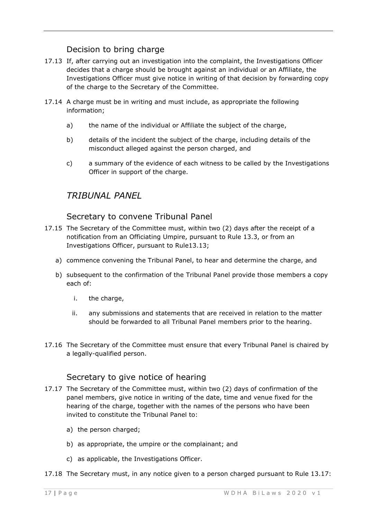# Decision to bring charge

- <span id="page-17-0"></span>17.13 If, after carrying out an investigation into the complaint, the Investigations Officer decides that a charge should be brought against an individual or an Affiliate, the Investigations Officer must give notice in writing of that decision by forwarding copy of the charge to the Secretary of the Committee.
- 17.14 A charge must be in writing and must include, as appropriate the following information;
	- a) the name of the individual or Affiliate the subject of the charge,
	- b) details of the incident the subject of the charge, including details of the misconduct alleged against the person charged, and
	- c) a summary of the evidence of each witness to be called by the Investigations Officer in support of the charge.

# <span id="page-17-1"></span>*TRIBUNAL PANEL*

#### Secretary to convene Tribunal Panel

- <span id="page-17-2"></span>17.15 The Secretary of the Committee must, within two (2) days after the receipt of a notification from an Officiating Umpire, pursuant to Rule 13.3, or from an Investigations Officer, pursuant to Rule13.13;
	- a) commence convening the Tribunal Panel, to hear and determine the charge, and
	- b) subsequent to the confirmation of the Tribunal Panel provide those members a copy each of:
		- i. the charge,
		- ii. any submissions and statements that are received in relation to the matter should be forwarded to all Tribunal Panel members prior to the hearing.
- 17.16 The Secretary of the Committee must ensure that every Tribunal Panel is chaired by a legally-qualified person.

# Secretary to give notice of hearing

- <span id="page-17-3"></span>17.17 The Secretary of the Committee must, within two (2) days of confirmation of the panel members, give notice in writing of the date, time and venue fixed for the hearing of the charge, together with the names of the persons who have been invited to constitute the Tribunal Panel to:
	- a) the person charged;
	- b) as appropriate, the umpire or the complainant; and
	- c) as applicable, the Investigations Officer.
- 17.18 The Secretary must, in any notice given to a person charged pursuant to Rule 13.17: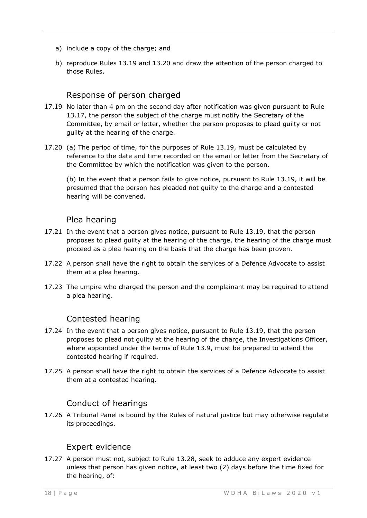- a) include a copy of the charge; and
- b) reproduce Rules 13.19 and 13.20 and draw the attention of the person charged to those Rules.

## Response of person charged

- <span id="page-18-0"></span>17.19 No later than 4 pm on the second day after notification was given pursuant to Rule 13.17, the person the subject of the charge must notify the Secretary of the Committee, by email or letter, whether the person proposes to plead guilty or not guilty at the hearing of the charge.
- 17.20 (a) The period of time, for the purposes of Rule 13.19, must be calculated by reference to the date and time recorded on the email or letter from the Secretary of the Committee by which the notification was given to the person.

(b) In the event that a person fails to give notice, pursuant to Rule 13.19, it will be presumed that the person has pleaded not guilty to the charge and a contested hearing will be convened.

#### Plea hearing

- <span id="page-18-1"></span>17.21 In the event that a person gives notice, pursuant to Rule 13.19, that the person proposes to plead guilty at the hearing of the charge, the hearing of the charge must proceed as a plea hearing on the basis that the charge has been proven.
- 17.22 A person shall have the right to obtain the services of a Defence Advocate to assist them at a plea hearing.
- 17.23 The umpire who charged the person and the complainant may be required to attend a plea hearing.

# Contested hearing

- <span id="page-18-2"></span>17.24 In the event that a person gives notice, pursuant to Rule 13.19, that the person proposes to plead not guilty at the hearing of the charge, the Investigations Officer, where appointed under the terms of Rule 13.9, must be prepared to attend the contested hearing if required.
- 17.25 A person shall have the right to obtain the services of a Defence Advocate to assist them at a contested hearing.

# Conduct of hearings

<span id="page-18-3"></span>17.26 A Tribunal Panel is bound by the Rules of natural justice but may otherwise regulate its proceedings.

#### Expert evidence

<span id="page-18-4"></span>17.27 A person must not, subject to Rule 13.28, seek to adduce any expert evidence unless that person has given notice, at least two (2) days before the time fixed for the hearing, of: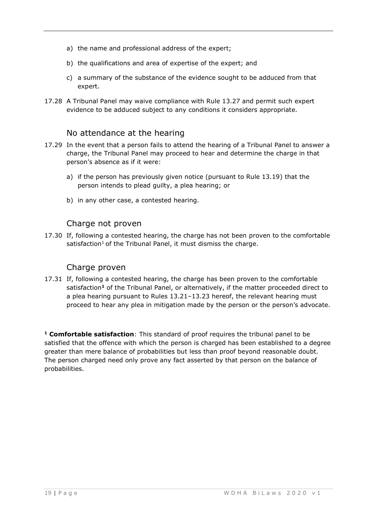- a) the name and professional address of the expert;
- b) the qualifications and area of expertise of the expert; and
- c) a summary of the substance of the evidence sought to be adduced from that expert.
- 17.28 A Tribunal Panel may waive compliance with Rule 13.27 and permit such expert evidence to be adduced subject to any conditions it considers appropriate.

#### No attendance at the hearing

- <span id="page-19-0"></span>17.29 In the event that a person fails to attend the hearing of a Tribunal Panel to answer a charge, the Tribunal Panel may proceed to hear and determine the charge in that person's absence as if it were:
	- a) if the person has previously given notice (pursuant to Rule 13.19) that the person intends to plead guilty, a plea hearing; or
	- b) in any other case, a contested hearing.

#### Charge not proven

<span id="page-19-1"></span>17.30 If, following a contested hearing, the charge has not been proven to the comfortable satisfaction<sup>1</sup> of the Tribunal Panel, it must dismiss the charge.

#### Charge proven

<span id="page-19-2"></span>17.31 If, following a contested hearing, the charge has been proven to the comfortable satisfaction**<sup>1</sup>** of the Tribunal Panel, or alternatively, if the matter proceeded direct to a plea hearing pursuant to Rules 13.21–13.23 hereof, the relevant hearing must proceed to hear any plea in mitigation made by the person or the person's advocate.

**<sup>1</sup> Comfortable satisfaction**: This standard of proof requires the tribunal panel to be satisfied that the offence with which the person is charged has been established to a degree greater than mere balance of probabilities but less than proof beyond reasonable doubt. The person charged need only prove any fact asserted by that person on the balance of probabilities.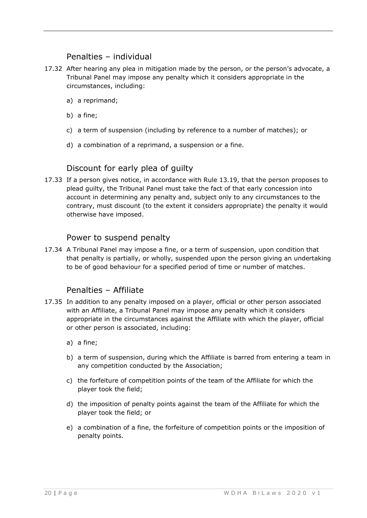## Penalties – individual

- <span id="page-20-0"></span>17.32 After hearing any plea in mitigation made by the person, or the person's advocate, a Tribunal Panel may impose any penalty which it considers appropriate in the circumstances, including:
	- a) a reprimand;
	- b) a fine;
	- c) a term of suspension (including by reference to a number of matches); or
	- d) a combination of a reprimand, a suspension or a fine.

## Discount for early plea of guilty

<span id="page-20-1"></span>17.33 If a person gives notice, in accordance with Rule 13.19, that the person proposes to plead guilty, the Tribunal Panel must take the fact of that early concession into account in determining any penalty and, subject only to any circumstances to the contrary, must discount (to the extent it considers appropriate) the penalty it would otherwise have imposed.

#### Power to suspend penalty

<span id="page-20-2"></span>17.34 A Tribunal Panel may impose a fine, or a term of suspension, upon condition that that penalty is partially, or wholly, suspended upon the person giving an undertaking to be of good behaviour for a specified period of time or number of matches.

#### Penalties – Affiliate

- <span id="page-20-3"></span>17.35 In addition to any penalty imposed on a player, official or other person associated with an Affiliate, a Tribunal Panel may impose any penalty which it considers appropriate in the circumstances against the Affiliate with which the player, official or other person is associated, including:
	- a) a fine;
	- b) a term of suspension, during which the Affiliate is barred from entering a team in any competition conducted by the Association;
	- c) the forfeiture of competition points of the team of the Affiliate for which the player took the field;
	- d) the imposition of penalty points against the team of the Affiliate for which the player took the field; or
	- e) a combination of a fine, the forfeiture of competition points or the imposition of penalty points.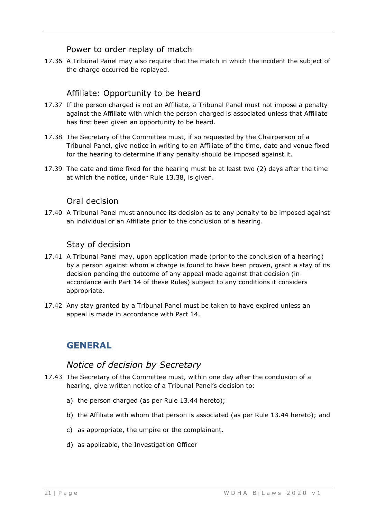## Power to order replay of match

<span id="page-21-0"></span>17.36 A Tribunal Panel may also require that the match in which the incident the subject of the charge occurred be replayed.

# Affiliate: Opportunity to be heard

- <span id="page-21-1"></span>17.37 If the person charged is not an Affiliate, a Tribunal Panel must not impose a penalty against the Affiliate with which the person charged is associated unless that Affiliate has first been given an opportunity to be heard.
- 17.38 The Secretary of the Committee must, if so requested by the Chairperson of a Tribunal Panel, give notice in writing to an Affiliate of the time, date and venue fixed for the hearing to determine if any penalty should be imposed against it.
- 17.39 The date and time fixed for the hearing must be at least two (2) days after the time at which the notice, under Rule 13.38, is given.

#### Oral decision

<span id="page-21-2"></span>17.40 A Tribunal Panel must announce its decision as to any penalty to be imposed against an individual or an Affiliate prior to the conclusion of a hearing.

# Stay of decision

- <span id="page-21-3"></span>17.41 A Tribunal Panel may, upon application made (prior to the conclusion of a hearing) by a person against whom a charge is found to have been proven, grant a stay of its decision pending the outcome of any appeal made against that decision (in accordance with Part 14 of these Rules) subject to any conditions it considers appropriate.
- <span id="page-21-4"></span>17.42 Any stay granted by a Tribunal Panel must be taken to have expired unless an appeal is made in accordance with Part 14.

# **GENERAL**

# *Notice of decision by Secretary*

- <span id="page-21-5"></span>17.43 The Secretary of the Committee must, within one day after the conclusion of a hearing, give written notice of a Tribunal Panel's decision to:
	- a) the person charged (as per Rule 13.44 hereto);
	- b) the Affiliate with whom that person is associated (as per Rule 13.44 hereto); and
	- c) as appropriate, the umpire or the complainant.
	- d) as applicable, the Investigation Officer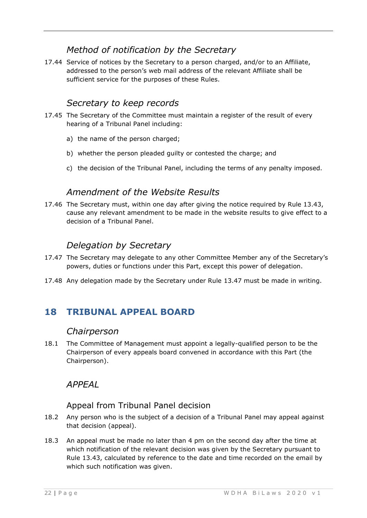# *Method of notification by the Secretary*

<span id="page-22-0"></span>17.44 Service of notices by the Secretary to a person charged, and/or to an Affiliate, addressed to the person's web mail address of the relevant Affiliate shall be sufficient service for the purposes of these Rules.

# *Secretary to keep records*

- <span id="page-22-1"></span>17.45 The Secretary of the Committee must maintain a register of the result of every hearing of a Tribunal Panel including:
	- a) the name of the person charged;
	- b) whether the person pleaded guilty or contested the charge; and
	- c) the decision of the Tribunal Panel, including the terms of any penalty imposed.

# *Amendment of the Website Results*

<span id="page-22-2"></span>17.46 The Secretary must, within one day after giving the notice required by Rule 13.43, cause any relevant amendment to be made in the website results to give effect to a decision of a Tribunal Panel.

# *Delegation by Secretary*

- <span id="page-22-3"></span>17.47 The Secretary may delegate to any other Committee Member any of the Secretary's powers, duties or functions under this Part, except this power of delegation.
- <span id="page-22-4"></span>17.48 Any delegation made by the Secretary under Rule 13.47 must be made in writing.

# <span id="page-22-5"></span>**18 TRIBUNAL APPEAL BOARD**

#### *Chairperson*

18.1 The Committee of Management must appoint a legally-qualified person to be the Chairperson of every appeals board convened in accordance with this Part (the Chairperson).

# <span id="page-22-6"></span>*APPEAL*

# Appeal from Tribunal Panel decision

- <span id="page-22-7"></span>18.2 Any person who is the subject of a decision of a Tribunal Panel may appeal against that decision (appeal).
- 18.3 An appeal must be made no later than 4 pm on the second day after the time at which notification of the relevant decision was given by the Secretary pursuant to Rule 13.43, calculated by reference to the date and time recorded on the email by which such notification was given.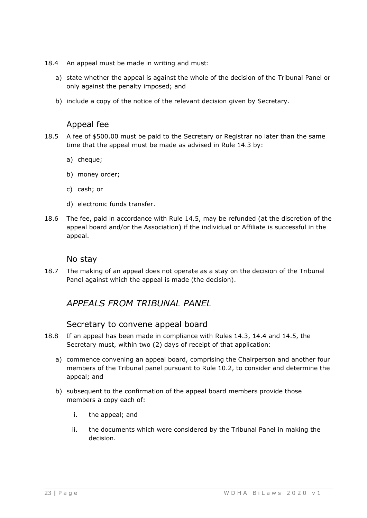- 18.4 An appeal must be made in writing and must:
	- a) state whether the appeal is against the whole of the decision of the Tribunal Panel or only against the penalty imposed; and
	- b) include a copy of the notice of the relevant decision given by Secretary.

# Appeal fee

- <span id="page-23-0"></span>18.5 A fee of \$500.00 must be paid to the Secretary or Registrar no later than the same time that the appeal must be made as advised in Rule 14.3 by:
	- a) cheque;
	- b) money order;
	- c) cash; or
	- d) electronic funds transfer.
- 18.6 The fee, paid in accordance with Rule 14.5, may be refunded (at the discretion of the appeal board and/or the Association) if the individual or Affiliate is successful in the appeal.

#### No stay

<span id="page-23-2"></span><span id="page-23-1"></span>18.7 The making of an appeal does not operate as a stay on the decision of the Tribunal Panel against which the appeal is made (the decision).

# *APPEALS FROM TRIBUNAL PANEL*

#### Secretary to convene appeal board

- <span id="page-23-3"></span>18.8 If an appeal has been made in compliance with Rules 14.3, 14.4 and 14.5, the Secretary must, within two (2) days of receipt of that application:
	- a) commence convening an appeal board, comprising the Chairperson and another four members of the Tribunal panel pursuant to Rule 10.2, to consider and determine the appeal; and
	- b) subsequent to the confirmation of the appeal board members provide those members a copy each of:
		- i. the appeal; and
		- ii. the documents which were considered by the Tribunal Panel in making the decision.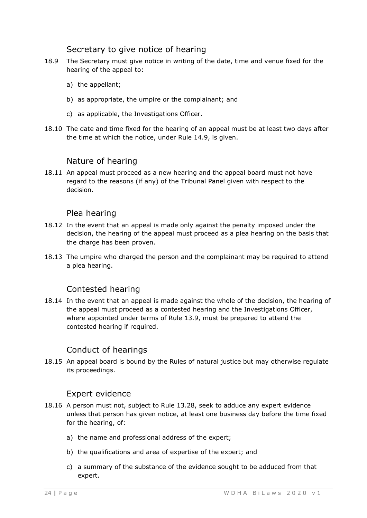## Secretary to give notice of hearing

- <span id="page-24-0"></span>18.9 The Secretary must give notice in writing of the date, time and venue fixed for the hearing of the appeal to:
	- a) the appellant;
	- b) as appropriate, the umpire or the complainant; and
	- c) as applicable, the Investigations Officer.
- 18.10 The date and time fixed for the hearing of an appeal must be at least two days after the time at which the notice, under Rule 14.9, is given.

#### Nature of hearing

<span id="page-24-1"></span>18.11 An appeal must proceed as a new hearing and the appeal board must not have regard to the reasons (if any) of the Tribunal Panel given with respect to the decision.

#### Plea hearing

- <span id="page-24-2"></span>18.12 In the event that an appeal is made only against the penalty imposed under the decision, the hearing of the appeal must proceed as a plea hearing on the basis that the charge has been proven.
- 18.13 The umpire who charged the person and the complainant may be required to attend a plea hearing.

#### Contested hearing

<span id="page-24-3"></span>18.14 In the event that an appeal is made against the whole of the decision, the hearing of the appeal must proceed as a contested hearing and the Investigations Officer, where appointed under terms of Rule 13.9, must be prepared to attend the contested hearing if required.

#### Conduct of hearings

<span id="page-24-4"></span>18.15 An appeal board is bound by the Rules of natural justice but may otherwise regulate its proceedings.

#### Expert evidence

- <span id="page-24-5"></span>18.16 A person must not, subject to Rule 13.28, seek to adduce any expert evidence unless that person has given notice, at least one business day before the time fixed for the hearing, of:
	- a) the name and professional address of the expert;
	- b) the qualifications and area of expertise of the expert; and
	- c) a summary of the substance of the evidence sought to be adduced from that expert.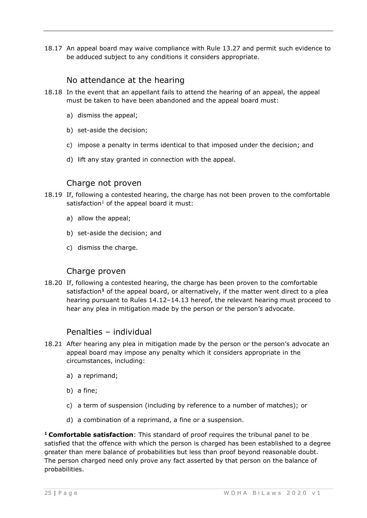18.17 An appeal board may waive compliance with Rule 13.27 and permit such evidence to be adduced subject to any conditions it considers appropriate.

#### No attendance at the hearing

- <span id="page-25-0"></span>18.18 In the event that an appellant fails to attend the hearing of an appeal, the appeal must be taken to have been abandoned and the appeal board must:
	- a) dismiss the appeal;
	- b) set-aside the decision;
	- c) impose a penalty in terms identical to that imposed under the decision; and
	- d) lift any stay granted in connection with the appeal.

#### Charge not proven

- <span id="page-25-1"></span>18.19 If, following a contested hearing, the charge has not been proven to the comfortable satisfaction<sup>1</sup> of the appeal board it must:
	- a) allow the appeal;
	- b) set-aside the decision; and
	- c) dismiss the charge.

#### Charge proven

<span id="page-25-2"></span>18.20 If, following a contested hearing, the charge has been proven to the comfortable satisfaction**<sup>1</sup>** of the appeal board, or alternatively, if the matter went direct to a plea hearing pursuant to Rules 14.12–14.13 hereof, the relevant hearing must proceed to hear any plea in mitigation made by the person or the person's advocate.

#### Penalties – individual

- <span id="page-25-3"></span>18.21 After hearing any plea in mitigation made by the person or the person's advocate an appeal board may impose any penalty which it considers appropriate in the circumstances, including:
	- a) a reprimand;
	- b) a fine;
	- c) a term of suspension (including by reference to a number of matches); or
	- d) a combination of a reprimand, a fine or a suspension.

**<sup>1</sup>Comfortable satisfaction**: This standard of proof requires the tribunal panel to be satisfied that the offence with which the person is charged has been established to a degree greater than mere balance of probabilities but less than proof beyond reasonable doubt. The person charged need only prove any fact asserted by that person on the balance of probabilities.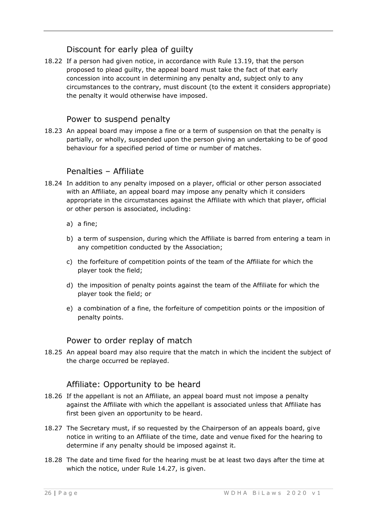# Discount for early plea of guilty

<span id="page-26-0"></span>18.22 If a person had given notice, in accordance with Rule 13.19, that the person proposed to plead guilty, the appeal board must take the fact of that early concession into account in determining any penalty and, subject only to any circumstances to the contrary, must discount (to the extent it considers appropriate) the penalty it would otherwise have imposed.

# Power to suspend penalty

<span id="page-26-1"></span>18.23 An appeal board may impose a fine or a term of suspension on that the penalty is partially, or wholly, suspended upon the person giving an undertaking to be of good behaviour for a specified period of time or number of matches.

#### Penalties – Affiliate

- <span id="page-26-2"></span>18.24 In addition to any penalty imposed on a player, official or other person associated with an Affiliate, an appeal board may impose any penalty which it considers appropriate in the circumstances against the Affiliate with which that player, official or other person is associated, including:
	- a) a fine;
	- b) a term of suspension, during which the Affiliate is barred from entering a team in any competition conducted by the Association;
	- c) the forfeiture of competition points of the team of the Affiliate for which the player took the field;
	- d) the imposition of penalty points against the team of the Affiliate for which the player took the field; or
	- e) a combination of a fine, the forfeiture of competition points or the imposition of penalty points.

#### Power to order replay of match

<span id="page-26-3"></span>18.25 An appeal board may also require that the match in which the incident the subject of the charge occurred be replayed.

#### Affiliate: Opportunity to be heard

- <span id="page-26-4"></span>18.26 If the appellant is not an Affiliate, an appeal board must not impose a penalty against the Affiliate with which the appellant is associated unless that Affiliate has first been given an opportunity to be heard.
- 18.27 The Secretary must, if so requested by the Chairperson of an appeals board, give notice in writing to an Affiliate of the time, date and venue fixed for the hearing to determine if any penalty should be imposed against it.
- 18.28 The date and time fixed for the hearing must be at least two days after the time at which the notice, under Rule 14.27, is given.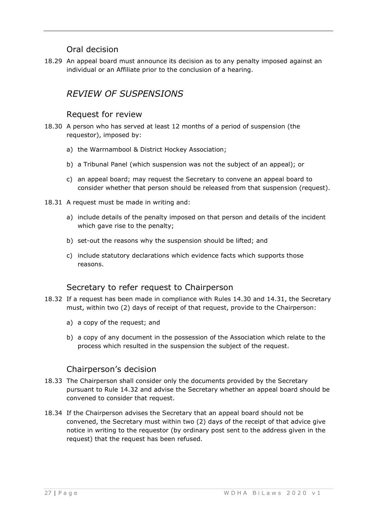# Oral decision

<span id="page-27-1"></span><span id="page-27-0"></span>18.29 An appeal board must announce its decision as to any penalty imposed against an individual or an Affiliate prior to the conclusion of a hearing.

# *REVIEW OF SUSPENSIONS*

#### Request for review

- <span id="page-27-2"></span>18.30 A person who has served at least 12 months of a period of suspension (the requestor), imposed by:
	- a) the Warrnambool & District Hockey Association;
	- b) a Tribunal Panel (which suspension was not the subject of an appeal); or
	- c) an appeal board; may request the Secretary to convene an appeal board to consider whether that person should be released from that suspension (request).
- 18.31 A request must be made in writing and:
	- a) include details of the penalty imposed on that person and details of the incident which gave rise to the penalty;
	- b) set-out the reasons why the suspension should be lifted; and
	- c) include statutory declarations which evidence facts which supports those reasons.

#### Secretary to refer request to Chairperson

- <span id="page-27-3"></span>18.32 If a request has been made in compliance with Rules 14.30 and 14.31, the Secretary must, within two (2) days of receipt of that request, provide to the Chairperson:
	- a) a copy of the request; and
	- b) a copy of any document in the possession of the Association which relate to the process which resulted in the suspension the subject of the request.

#### Chairperson's decision

- <span id="page-27-4"></span>18.33 The Chairperson shall consider only the documents provided by the Secretary pursuant to Rule 14.32 and advise the Secretary whether an appeal board should be convened to consider that request.
- 18.34 If the Chairperson advises the Secretary that an appeal board should not be convened, the Secretary must within two (2) days of the receipt of that advice give notice in writing to the requestor (by ordinary post sent to the address given in the request) that the request has been refused.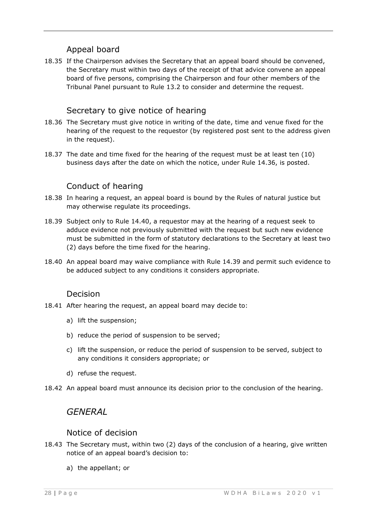# Appeal board

<span id="page-28-0"></span>18.35 If the Chairperson advises the Secretary that an appeal board should be convened, the Secretary must within two days of the receipt of that advice convene an appeal board of five persons, comprising the Chairperson and four other members of the Tribunal Panel pursuant to Rule 13.2 to consider and determine the request.

# Secretary to give notice of hearing

- <span id="page-28-1"></span>18.36 The Secretary must give notice in writing of the date, time and venue fixed for the hearing of the request to the requestor (by registered post sent to the address given in the request).
- 18.37 The date and time fixed for the hearing of the request must be at least ten (10) business days after the date on which the notice, under Rule 14.36, is posted.

# Conduct of hearing

- <span id="page-28-2"></span>18.38 In hearing a request, an appeal board is bound by the Rules of natural justice but may otherwise regulate its proceedings.
- 18.39 Subject only to Rule 14.40, a requestor may at the hearing of a request seek to adduce evidence not previously submitted with the request but such new evidence must be submitted in the form of statutory declarations to the Secretary at least two (2) days before the time fixed for the hearing.
- 18.40 An appeal board may waive compliance with Rule 14.39 and permit such evidence to be adduced subject to any conditions it considers appropriate.

#### Decision

- <span id="page-28-3"></span>18.41 After hearing the request, an appeal board may decide to:
	- a) lift the suspension;
	- b) reduce the period of suspension to be served;
	- c) lift the suspension, or reduce the period of suspension to be served, subject to any conditions it considers appropriate; or
	- d) refuse the request.
- <span id="page-28-4"></span>18.42 An appeal board must announce its decision prior to the conclusion of the hearing.

# *GENERAL*

#### Notice of decision

- <span id="page-28-5"></span>18.43 The Secretary must, within two (2) days of the conclusion of a hearing, give written notice of an appeal board's decision to:
	- a) the appellant; or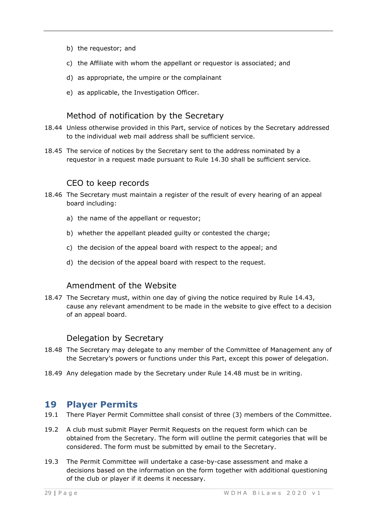- b) the requestor; and
- c) the Affiliate with whom the appellant or requestor is associated; and
- d) as appropriate, the umpire or the complainant
- e) as applicable, the Investigation Officer.

#### Method of notification by the Secretary

- <span id="page-29-0"></span>18.44 Unless otherwise provided in this Part, service of notices by the Secretary addressed to the individual web mail address shall be sufficient service.
- 18.45 The service of notices by the Secretary sent to the address nominated by a requestor in a request made pursuant to Rule 14.30 shall be sufficient service.

#### CEO to keep records

- <span id="page-29-1"></span>18.46 The Secretary must maintain a register of the result of every hearing of an appeal board including:
	- a) the name of the appellant or requestor;
	- b) whether the appellant pleaded guilty or contested the charge;
	- c) the decision of the appeal board with respect to the appeal; and
	- d) the decision of the appeal board with respect to the request.

#### Amendment of the Website

<span id="page-29-2"></span>18.47 The Secretary must, within one day of giving the notice required by Rule 14.43, cause any relevant amendment to be made in the website to give effect to a decision of an appeal board.

#### Delegation by Secretary

- <span id="page-29-3"></span>18.48 The Secretary may delegate to any member of the Committee of Management any of the Secretary's powers or functions under this Part, except this power of delegation.
- <span id="page-29-4"></span>18.49 Any delegation made by the Secretary under Rule 14.48 must be in writing.

#### **19 Player Permits**

- 19.1 There Player Permit Committee shall consist of three (3) members of the Committee.
- 19.2 A club must submit Player Permit Requests on the request form which can be obtained from the Secretary. The form will outline the permit categories that will be considered. The form must be submitted by email to the Secretary.
- 19.3 The Permit Committee will undertake a case-by-case assessment and make a decisions based on the information on the form together with additional questioning of the club or player if it deems it necessary.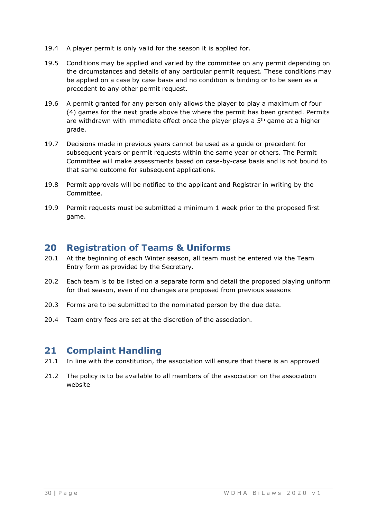- 19.4 A player permit is only valid for the season it is applied for.
- 19.5 Conditions may be applied and varied by the committee on any permit depending on the circumstances and details of any particular permit request. These conditions may be applied on a case by case basis and no condition is binding or to be seen as a precedent to any other permit request.
- 19.6 A permit granted for any person only allows the player to play a maximum of four (4) games for the next grade above the where the permit has been granted. Permits are withdrawn with immediate effect once the player plays a  $5<sup>th</sup>$  game at a higher grade.
- 19.7 Decisions made in previous years cannot be used as a guide or precedent for subsequent years or permit requests within the same year or others. The Permit Committee will make assessments based on case-by-case basis and is not bound to that same outcome for subsequent applications.
- 19.8 Permit approvals will be notified to the applicant and Registrar in writing by the Committee.
- 19.9 Permit requests must be submitted a minimum 1 week prior to the proposed first game.

# <span id="page-30-0"></span>**20 Registration of Teams & Uniforms**

- 20.1 At the beginning of each Winter season, all team must be entered via the Team Entry form as provided by the Secretary.
- 20.2 Each team is to be listed on a separate form and detail the proposed playing uniform for that season, even if no changes are proposed from previous seasons
- 20.3 Forms are to be submitted to the nominated person by the due date.
- <span id="page-30-1"></span>20.4 Team entry fees are set at the discretion of the association.

# **21 Complaint Handling**

- 21.1 In line with the constitution, the association will ensure that there is an approved
- 21.2 The policy is to be available to all members of the association on the association website